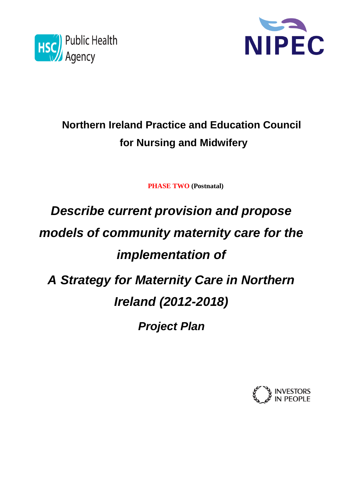



# **Northern Ireland Practice and Education Council for Nursing and Midwifery**

**PHASE TWO (Postnatal)** 

# *Describe current provision and propose models of community maternity care for the implementation of A Strategy for Maternity Care in Northern Ireland (2012-2018) Project Plan*

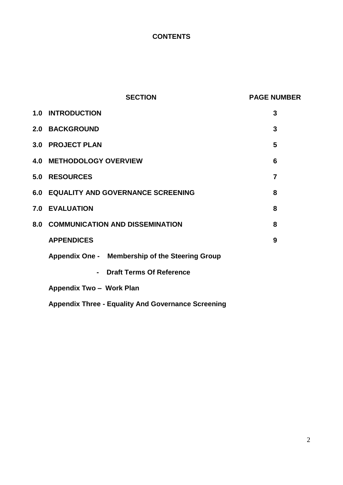### **CONTENTS**

|     | <b>SECTION</b>                                            | <b>PAGE NUMBER</b> |
|-----|-----------------------------------------------------------|--------------------|
|     | <b>1.0 INTRODUCTION</b>                                   | 3                  |
|     | <b>2.0 BACKGROUND</b>                                     | 3                  |
|     | 3.0 PROJECT PLAN                                          | 5                  |
|     | <b>4.0 METHODOLOGY OVERVIEW</b>                           | 6                  |
| 5.0 | <b>RESOURCES</b>                                          | $\overline{7}$     |
|     | 6.0 EQUALITY AND GOVERNANCE SCREENING                     | 8                  |
|     | 7.0 EVALUATION                                            | 8                  |
|     | 8.0 COMMUNICATION AND DISSEMINATION                       | 8                  |
|     | <b>APPENDICES</b>                                         | 9                  |
|     | Appendix One - Membership of the Steering Group           |                    |
|     | <b>Draft Terms Of Reference</b><br>$\blacksquare$         |                    |
|     | Appendix Two - Work Plan                                  |                    |
|     | <b>Appendix Three - Equality And Governance Screening</b> |                    |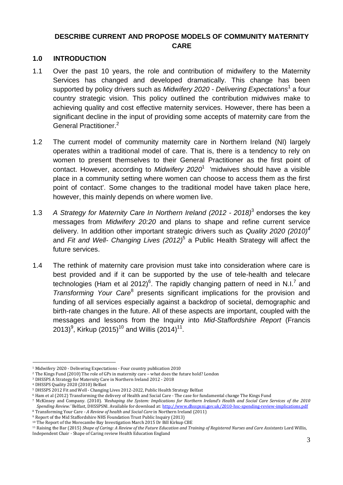#### **DESCRIBE CURRENT AND PROPOSE MODELS OF COMMUNITY MATERNITY CARE**

#### **1.0 INTRODUCTION**

- 1.1 Over the past 10 years, the role and contribution of midwifery to the Maternity Services has changed and developed dramatically. This change has been supported by policy drivers such as *Midwifery 2020 - Delivering Expectations*<sup>1</sup> a four country strategic vision. This policy outlined the contribution midwives make to achieving quality and cost effective maternity services. However, there has been a significant decline in the input of providing some accepts of maternity care from the General Practitioner.<sup>2</sup>
- 1.2 The current model of community maternity care in Northern Ireland (NI) largely operates within a traditional model of care. That is, there is a tendency to rely on women to present themselves to their General Practitioner as the first point of contact. However, according to *Midwifery 2020*<sup>1</sup>'midwives should have a visible place in a community setting where women can choose to access them as the first point of contact'. Some changes to the traditional model have taken place here, however, this mainly depends on where women live.
- 1.3 *A Strategy for Maternity Care In Northern Ireland (2012 - 2018)*<sup>3</sup> endorses the key messages from *Midwifery 20:20* and plans to shape and refine current service delivery. In addition other important strategic drivers such as *Quality 2020 (2010)<sup>4</sup>* and *Fit and Well- Changing Lives (2012)*<sup>5</sup> a Public Health Strategy will affect the future services.
- 1.4 The rethink of maternity care provision must take into consideration where care is best provided and if it can be supported by the use of tele-health and telecare technologies (Ham et al 2012)<sup>6</sup>. The rapidly changing pattern of need in N.I.<sup>7</sup> and Transforming Your Care<sup>8</sup> presents significant implications for the provision and funding of all services especially against a backdrop of societal, demographic and birth-rate changes in the future. All of these aspects are important, coupled with the messages and lessons from the Inquiry into *Mid-Staffordshire Report* (Francis 2013)<sup>9</sup>, Kirkup (2015)<sup>10</sup> and Willis (2014)<sup>11</sup>.

<sup>&</sup>lt;u>.</u> <sup>1</sup> Midwifery 2020 - Delivering Expectations - Four country publication 2010

<sup>2</sup> The Kings Fund (2010) The role of GPs in maternity care – what does the future hold? London

<sup>3</sup> DHSSPS A Strategy for Maternity Care in Northern Ireland 2012 - 2018

<sup>4</sup> DHSSPS Quality 2020 (2010) Belfast

<sup>5</sup> DHSSPS 2012 Fit and Well - Changing Lives 2012-2022, Public Health Strategy Belfast

<sup>6</sup> Ham et al (2012) Transforming the delivery of Health and Social Care - The case for fundamental change The Kings Fund

<sup>7</sup> McKinsey and Company. (2010). *'Reshaping the System: Implications for Northern Ireland's Health and Social Care Services of the 2010 Spending Review.'* Belfast, DHSSPSNI. Available for download at[: http://www.dhsspsni.gov.uk/2010-hsc-spending-review-implications.pdf](http://www.dhsspsni.gov.uk/2010-hsc-spending-review-implications.pdf) <sup>8</sup> Transforming Your Care *- A Review of health and Social Care* in Northern Ireland (2011)

<sup>9</sup> Report of the Mid Staffordshire NHS Foundation Trust Public Inquiry (2013)

<sup>&</sup>lt;sup>10</sup> The Report of the Morecambe Bay Investigation March 2015 Dr Bill Kirkup CBE

<sup>11</sup> Raising the Bar (2015) *Shape of Caring: A Review of the Future Education and Training of Registered Nurses and Care Assistants* Lord Willis, Independent Chair - Shape of Caring review Health Education England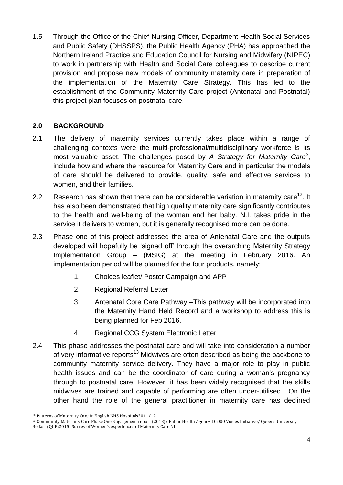1.5 Through the Office of the Chief Nursing Officer, Department Health Social Services and Public Safety (DHSSPS), the Public Health Agency (PHA) has approached the Northern Ireland Practice and Education Council for Nursing and Midwifery (NIPEC) to work in partnership with Health and Social Care colleagues to describe current provision and propose new models of community maternity care in preparation of the implementation of the Maternity Care Strategy. This has led to the establishment of the Community Maternity Care project (Antenatal and Postnatal) this project plan focuses on postnatal care.

#### **2.0 BACKGROUND**

- 2.1 The delivery of maternity services currently takes place within a range of challenging contexts were the multi-professional/multidisciplinary workforce is its most valuable asset. The challenges posed by *A Strategy for Maternity Care<sup>2</sup>* , include how and where the resource for Maternity Care and in particular the models of care should be delivered to provide, quality, safe and effective services to women, and their families.
- 2.2 Research has shown that there can be considerable variation in maternity care<sup>12</sup>. It has also been demonstrated that high quality maternity care significantly contributes to the health and well-being of the woman and her baby. N.I. takes pride in the service it delivers to women, but it is generally recognised more can be done.
- 2.3 Phase one of this project addressed the area of Antenatal Care and the outputs developed will hopefully be 'signed off' through the overarching Maternity Strategy Implementation Group – (MSIG) at the meeting in February 2016. An implementation period will be planned for the four products, namely:
	- 1. Choices leaflet/ Poster Campaign and APP
	- 2. Regional Referral Letter
	- 3. Antenatal Core Care Pathway –This pathway will be incorporated into the Maternity Hand Held Record and a workshop to address this is being planned for Feb 2016.
	- 4. Regional CCG System Electronic Letter
- 2.4 This phase addresses the postnatal care and will take into consideration a number of very informative reports<sup>13</sup> Midwives are often described as being the backbone to community maternity service delivery. They have a major role to play in public health issues and can be the coordinator of care during a woman's pregnancy through to postnatal care. However, it has been widely recognised that the skills midwives are trained and capable of performing are often under-utilised. On the other hand the role of the general practitioner in maternity care has declined

<sup>1</sup> <sup>12</sup> Patterns of Maternity Care in English NHS Hospitals2011/12

<sup>13</sup> Community Maternity Care Phase One Engagement report (2013)/ Public Health Agency 10,000 Voices Initiative/ Queens University Belfast (QUB:2015) Survey of Women's experiences of Maternity Care NI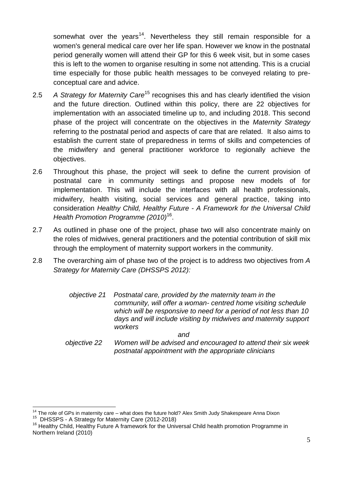somewhat over the vears<sup>14</sup>. Nevertheless they still remain responsible for a women's general medical care over her life span. However we know in the postnatal period generally women will attend their GP for this 6 week visit, but in some cases this is left to the women to organise resulting in some not attending. This is a crucial time especially for those public health messages to be conveyed relating to preconceptual care and advice.

- 2.5 *A Strategy for Maternity Care*<sup>15</sup> recognises this and has clearly identified the vision and the future direction. Outlined within this policy, there are 22 objectives for implementation with an associated timeline up to, and including 2018. This second phase of the project will concentrate on the objectives in the *Maternity Strategy*  referring to the postnatal period and aspects of care that are related. It also aims to establish the current state of preparedness in terms of skills and competencies of the midwifery and general practitioner workforce to regionally achieve the objectives.
- 2.6 Throughout this phase, the project will seek to define the current provision of postnatal care in community settings and propose new models of for implementation. This will include the interfaces with all health professionals, midwifery, health visiting, social services and general practice, taking into consideration *Healthy Child, Healthy Future - A Framework for the Universal Child Health Promotion Programme (2010)*<sup>16</sup> .
- 2.7 As outlined in phase one of the project, phase two will also concentrate mainly on the roles of midwives, general practitioners and the potential contribution of skill mix through the employment of maternity support workers in the community.
- 2.8 The overarching aim of phase two of the project is to address two objectives from *A Strategy for Maternity Care (DHSSPS 2012):*

| objective 21 Postnatal care, provided by the maternity team in the<br>community, will offer a woman- centred home visiting schedule<br>which will be responsive to need for a period of not less than 10<br>days and will include visiting by midwives and maternity support<br>workers |
|-----------------------------------------------------------------------------------------------------------------------------------------------------------------------------------------------------------------------------------------------------------------------------------------|
| and                                                                                                                                                                                                                                                                                     |

 *objective 22 Women will be advised and encouraged to attend their six week postnatal appointment with the appropriate clinicians*

1

 $14$  The role of GPs in maternity care – what does the future hold? Alex Smith Judy Shakespeare Anna Dixon

<sup>15</sup> DHSSPS - A Strategy for Maternity Care (2012-2018)

<sup>&</sup>lt;sup>16</sup> Healthy Child, Healthy Future A framework for the Universal Child health promotion Programme in Northern Ireland (2010)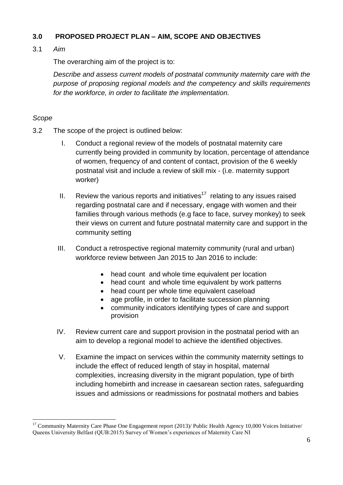#### **3.0 PROPOSED PROJECT PLAN – AIM, SCOPE AND OBJECTIVES**

#### 3.1 *Aim*

The overarching aim of the project is to:

*Describe and assess current models of postnatal community maternity care with the purpose of proposing regional models and the competency and skills requirements for the workforce, in order to facilitate the implementation.*

#### *Scope*

<u>.</u>

- 3.2 The scope of the project is outlined below:
	- I. Conduct a regional review of the models of postnatal maternity care currently being provided in community by location, percentage of attendance of women, frequency of and content of contact, provision of the 6 weekly postnatal visit and include a review of skill mix - (i.e. maternity support worker)
	- II. Review the various reports and initiatives<sup>17</sup> relating to any issues raised regarding postnatal care and if necessary, engage with women and their families through various methods (e.g face to face, survey monkey) to seek their views on current and future postnatal maternity care and support in the community setting
	- III. Conduct a retrospective regional maternity community (rural and urban) workforce review between Jan 2015 to Jan 2016 to include:
		- head count and whole time equivalent per location
		- head count and whole time equivalent by work patterns
		- head count per whole time equivalent caseload
		- age profile, in order to facilitate succession planning
		- community indicators identifying types of care and support provision
	- IV. Review current care and support provision in the postnatal period with an aim to develop a regional model to achieve the identified objectives.
	- V. Examine the impact on services within the community maternity settings to include the effect of reduced length of stay in hospital, maternal complexities, increasing diversity in the migrant population, type of birth including homebirth and increase in caesarean section rates, safeguarding issues and admissions or readmissions for postnatal mothers and babies

<sup>&</sup>lt;sup>17</sup> Community Maternity Care Phase One Engagement report  $(2013)$  Public Health Agency 10,000 Voices Initiative Queens University Belfast (QUB:2015) Survey of Women's experiences of Maternity Care NI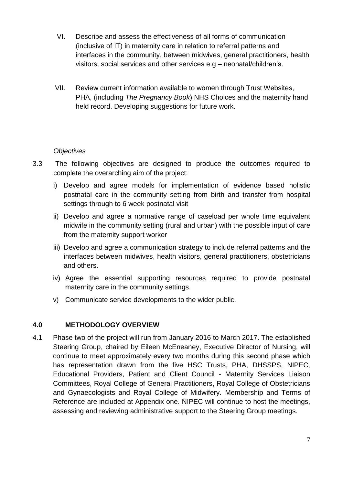- VI. Describe and assess the effectiveness of all forms of communication (inclusive of IT) in maternity care in relation to referral patterns and interfaces in the community, between midwives, general practitioners, health visitors, social services and other services e.g – neonatal/children's.
- VII. Review current information available to women through Trust Websites, PHA, (including *The Pregnancy Book*) NHS Choices and the maternity hand held record. Developing suggestions for future work.

#### *Objectives*

- 3.3 The following objectives are designed to produce the outcomes required to complete the overarching aim of the project:
	- i) Develop and agree models for implementation of evidence based holistic postnatal care in the community setting from birth and transfer from hospital settings through to 6 week postnatal visit
	- ii) Develop and agree a normative range of caseload per whole time equivalent midwife in the community setting (rural and urban) with the possible input of care from the maternity support worker
	- iii) Develop and agree a communication strategy to include referral patterns and the interfaces between midwives, health visitors, general practitioners, obstetricians and others.
	- iv) Agree the essential supporting resources required to provide postnatal maternity care in the community settings.
	- v) Communicate service developments to the wider public.

#### **4.0 METHODOLOGY OVERVIEW**

4.1 Phase two of the project will run from January 2016 to March 2017. The established Steering Group, chaired by Eileen McEneaney, Executive Director of Nursing, will continue to meet approximately every two months during this second phase which has representation drawn from the five HSC Trusts, PHA, DHSSPS, NIPEC, Educational Providers, Patient and Client Council - Maternity Services Liaison Committees, Royal College of General Practitioners, Royal College of Obstetricians and Gynaecologists and Royal College of Midwifery. Membership and Terms of Reference are included at Appendix one. NIPEC will continue to host the meetings, assessing and reviewing administrative support to the Steering Group meetings.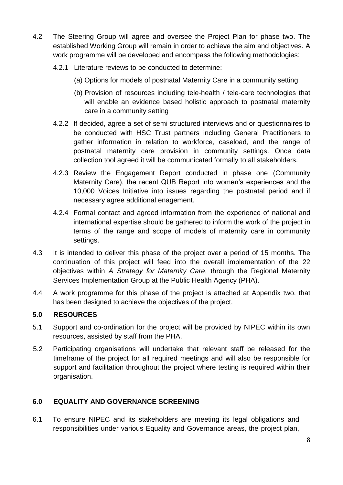- 4.2 The Steering Group will agree and oversee the Project Plan for phase two. The established Working Group will remain in order to achieve the aim and objectives. A work programme will be developed and encompass the following methodologies:
	- 4.2.1 Literature reviews to be conducted to determine:
		- (a) Options for models of postnatal Maternity Care in a community setting
		- (b) Provision of resources including tele-health / tele-care technologies that will enable an evidence based holistic approach to postnatal maternity care in a community setting
	- 4.2.2 If decided, agree a set of semi structured interviews and or questionnaires to be conducted with HSC Trust partners including General Practitioners to gather information in relation to workforce, caseload, and the range of postnatal maternity care provision in community settings. Once data collection tool agreed it will be communicated formally to all stakeholders.
	- 4.2.3 Review the Engagement Report conducted in phase one (Community Maternity Care), the recent QUB Report into women's experiences and the 10,000 Voices Initiative into issues regarding the postnatal period and if necessary agree additional enagement.
	- 4.2.4 Formal contact and agreed information from the experience of national and international expertise should be gathered to inform the work of the project in terms of the range and scope of models of maternity care in community settings.
- 4.3 It is intended to deliver this phase of the project over a period of 15 months. The continuation of this project will feed into the overall implementation of the 22 objectives within *A Strategy for Maternity Care*, through the Regional Maternity Services Implementation Group at the Public Health Agency (PHA).
- 4.4 A work programme for this phase of the project is attached at Appendix two, that has been designed to achieve the objectives of the project.

#### **5.0 RESOURCES**

- 5.1 Support and co-ordination for the project will be provided by NIPEC within its own resources, assisted by staff from the PHA.
- 5.2 Participating organisations will undertake that relevant staff be released for the timeframe of the project for all required meetings and will also be responsible for support and facilitation throughout the project where testing is required within their organisation.

#### **6.0 EQUALITY AND GOVERNANCE SCREENING**

6.1 To ensure NIPEC and its stakeholders are meeting its legal obligations and responsibilities under various Equality and Governance areas, the project plan,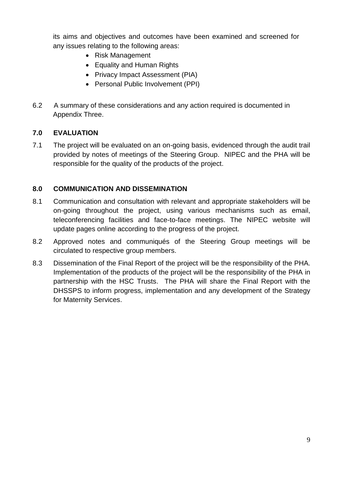its aims and objectives and outcomes have been examined and screened for any issues relating to the following areas:

- Risk Management
- Equality and Human Rights
- Privacy Impact Assessment (PIA)
- Personal Public Involvement (PPI)
- 6.2 A summary of these considerations and any action required is documented in Appendix Three.

#### **7.0 EVALUATION**

7.1 The project will be evaluated on an on-going basis, evidenced through the audit trail provided by notes of meetings of the Steering Group. NIPEC and the PHA will be responsible for the quality of the products of the project.

#### **8.0 COMMUNICATION AND DISSEMINATION**

- 8.1 Communication and consultation with relevant and appropriate stakeholders will be on-going throughout the project, using various mechanisms such as email, teleconferencing facilities and face-to-face meetings. The NIPEC website will update pages online according to the progress of the project.
- 8.2 Approved notes and communiqués of the Steering Group meetings will be circulated to respective group members.
- 8.3 Dissemination of the Final Report of the project will be the responsibility of the PHA. Implementation of the products of the project will be the responsibility of the PHA in partnership with the HSC Trusts. The PHA will share the Final Report with the DHSSPS to inform progress, implementation and any development of the Strategy for Maternity Services.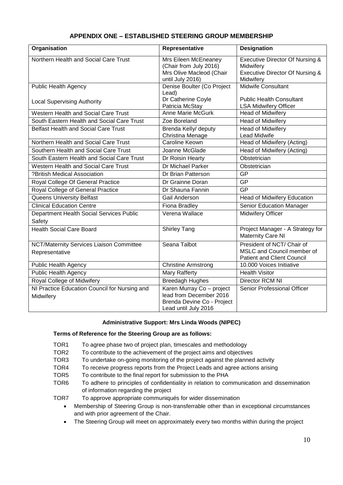| <b>APPENDIX ONE - ESTABLISHED STEERING GROUP MEMBERSHIP</b> |  |
|-------------------------------------------------------------|--|
|-------------------------------------------------------------|--|

| Organisation                                               | Representative                                                                                             | <b>Designation</b>                                                                                      |
|------------------------------------------------------------|------------------------------------------------------------------------------------------------------------|---------------------------------------------------------------------------------------------------------|
| Northern Health and Social Care Trust                      | Mrs Eileen McEneaney<br>(Chair from July 2016)<br>Mrs Olive Macleod (Chair<br>until July 2016)             | <b>Executive Director Of Nursing &amp;</b><br>Midwifery<br>Executive Director Of Nursing &<br>Midwifery |
| <b>Public Health Agency</b>                                | Denise Boulter (Co Project<br>Lead)                                                                        | <b>Midwife Consultant</b>                                                                               |
| <b>Local Supervising Authority</b>                         | Dr Catherine Coyle<br>Patricia McStay                                                                      | <b>Public Health Consultant</b><br><b>LSA Midwifery Officer</b>                                         |
| Western Health and Social Care Trust                       | Anne Marie McGurk                                                                                          | Head of Midwifery                                                                                       |
| South Eastern Health and Social Care Trust                 | Zoe Boreland                                                                                               | Head of Midwifery                                                                                       |
| <b>Belfast Health and Social Care Trust</b>                | Brenda Kelly/ deputy<br>Christina Menage                                                                   | <b>Head of Midwifery</b><br><b>Lead Midwife</b>                                                         |
| Northern Health and Social Care Trust                      | <b>Caroline Keown</b>                                                                                      | Head of Midwifery (Acting)                                                                              |
| Southern Health and Social Care Trust                      | Joanne McGlade                                                                                             | Head of Midwifery (Acting)                                                                              |
| South Eastern Health and Social Care Trust                 | Dr Roisin Hearty                                                                                           | Obstetrician                                                                                            |
| Western Health and Social Care Trust                       | Dr Michael Parker                                                                                          | Obstetrician                                                                                            |
| ?British Medical Association                               | Dr Brian Patterson                                                                                         | GP                                                                                                      |
| Royal College Of General Practice                          | Dr Grainne Doran                                                                                           | GP                                                                                                      |
| Royal College of General Practice                          | Dr Shauna Fannin                                                                                           | GP                                                                                                      |
| <b>Queens University Belfast</b>                           | Gail Anderson                                                                                              | Head of Midwifery Education                                                                             |
| <b>Clinical Education Centre</b>                           | Fiona Bradley                                                                                              | Senior Education Manager                                                                                |
| Department Health Social Services Public<br>Safety         | Verena Wallace                                                                                             | <b>Midwifery Officer</b>                                                                                |
| <b>Health Social Care Board</b>                            | <b>Shirley Tang</b>                                                                                        | Project Manager - A Strategy for<br>Maternity Care NI                                                   |
| NCT/Maternity Services Liaison Committee<br>Representative | Seana Talbot                                                                                               | President of NCT/ Chair of<br>MSLC and Council member of<br><b>Patient and Client Council</b>           |
| <b>Public Health Agency</b>                                | <b>Christine Armstrong</b>                                                                                 | 10.000 Voices Initiative                                                                                |
| <b>Public Health Agency</b>                                | <b>Mary Rafferty</b>                                                                                       | <b>Health Visitor</b>                                                                                   |
| Royal College of Midwifery                                 | <b>Breedagh Hughes</b>                                                                                     | Director RCM NI                                                                                         |
| NI Practice Education Council for Nursing and<br>Midwifery | Karen Murray Co - project<br>lead from December 2016<br>Brenda Devine Co - Project<br>Lead until July 2016 | Senior Professional Officer                                                                             |

#### **Administrative Support: Mrs Linda Woods (NIPEC)**

#### **Terms of Reference for the Steering Group are as follows:**

- TOR1 To agree phase two of project plan, timescales and methodology
- TOR2 To contribute to the achievement of the project aims and objectives
- TOR3 To undertake on-going monitoring of the project against the planned activity
- TOR4 To receive progress reports from the Project Leads and agree actions arising
- TOR5 To contribute to the final report for submission to the PHA
- TOR6 To adhere to principles of confidentiality in relation to communication and dissemination of information regarding the project

TOR7 To approve appropriate communiqués for wider dissemination

- Membership of Steering Group is non-transferrable other than in exceptional circumstances and with prior agreement of the Chair.
- The Steering Group will meet on approximately every two months within during the project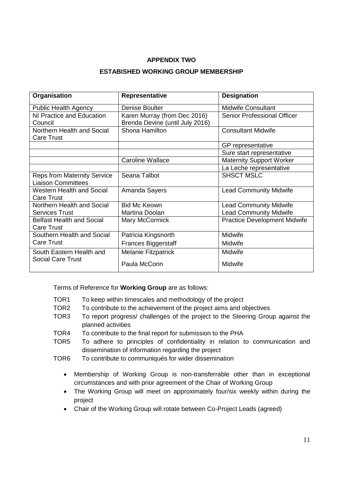#### **APPENDIX TWO**

#### **ESTABISHED WORKING GROUP MEMBERSHIP**

| Organisation                       | Representative                  | <b>Designation</b>                  |
|------------------------------------|---------------------------------|-------------------------------------|
| <b>Public Health Agency</b>        | Denise Boulter                  | <b>Midwife Consultant</b>           |
| NI Practice and Education          | Karen Murray (from Dec 2016)    | <b>Senior Professional Officer</b>  |
| Council                            | Brenda Devine (until July 2016) |                                     |
| Northern Health and Social         | Shona Hamilton                  | <b>Consultant Midwife</b>           |
| <b>Care Trust</b>                  |                                 |                                     |
|                                    |                                 | GP representative                   |
|                                    |                                 | Sure start representative           |
|                                    | <b>Caroline Wallace</b>         | <b>Maternity Support Worker</b>     |
|                                    |                                 | La Leche representative             |
| <b>Reps from Maternity Service</b> | Seana Talbot                    | <b>SHSCT MSLC</b>                   |
| <b>Liaison Committees</b>          |                                 |                                     |
| <b>Western Health and Social</b>   | Amanda Sayers                   | <b>Lead Community Midwife</b>       |
| <b>Care Trust</b>                  |                                 |                                     |
| Northern Health and Social         | <b>Bid Mc Keown</b>             | <b>Lead Community Midwife</b>       |
| <b>Services Trust</b>              | Martina Doolan                  | <b>Lead Community Midwife</b>       |
| <b>Belfast Health and Social</b>   | Mary McCormick                  | <b>Practice Development Midwife</b> |
| <b>Care Trust</b>                  |                                 |                                     |
| Southern Health and Social         | Patricia Kingsnorth             | Midwife                             |
| <b>Care Trust</b>                  | <b>Frances Biggerstaff</b>      | Midwife                             |
| South Eastern Health and           | <b>Melanie Fitzpatrick</b>      | Midwife                             |
| <b>Social Care Trust</b>           | Paula McConn                    | Midwife                             |

Terms of Reference for **Working Group** are as follows:

- TOR1 To keep within timescales and methodology of the project
- TOR2 To contribute to the achievement of the project aims and objectives
- TOR3 To report progress/ challenges of the project to the Steering Group against the planned activities
- TOR4 To contribute to the final report for submission to the PHA
- TOR5 To adhere to principles of confidentiality in relation to communication and dissemination of information regarding the project
- TOR6 To contribute to communiqués for wider dissemination
	- Membership of Working Group is non-transferrable other than in exceptional circumstances and with prior agreement of the Chair of Working Group
	- The Working Group will meet on approximately four/six weekly within during the project
	- Chair of the Working Group will rotate between Co-Project Leads (agreed)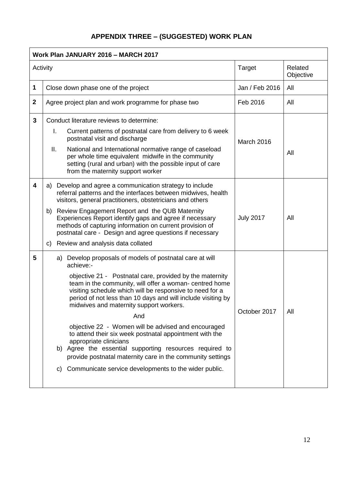# **APPENDIX THREE – (SUGGESTED) WORK PLAN**

| Work Plan JANUARY 2016 - MARCH 2017 |                                                                                                                                                                                                                                                                                                                               |                  |                      |
|-------------------------------------|-------------------------------------------------------------------------------------------------------------------------------------------------------------------------------------------------------------------------------------------------------------------------------------------------------------------------------|------------------|----------------------|
| Activity                            |                                                                                                                                                                                                                                                                                                                               | <b>Target</b>    | Related<br>Objective |
| 1                                   | Close down phase one of the project                                                                                                                                                                                                                                                                                           | Jan / Feb 2016   | All                  |
| $\mathbf{2}$                        | Agree project plan and work programme for phase two                                                                                                                                                                                                                                                                           | Feb 2016         | All                  |
| 3                                   | Conduct literature reviews to determine:                                                                                                                                                                                                                                                                                      |                  |                      |
|                                     | I.<br>Current patterns of postnatal care from delivery to 6 week<br>postnatal visit and discharge                                                                                                                                                                                                                             | March 2016       |                      |
|                                     | ΙΙ.<br>National and International normative range of caseload<br>per whole time equivalent midwife in the community<br>setting (rural and urban) with the possible input of care<br>from the maternity support worker                                                                                                         | All              |                      |
| 4                                   | a) Develop and agree a communication strategy to include<br>referral patterns and the interfaces between midwives, health<br>visitors, general practitioners, obstetricians and others                                                                                                                                        |                  |                      |
|                                     | Review Engagement Report and the QUB Maternity<br>b)<br>Experiences Report identify gaps and agree if necessary<br>methods of capturing information on current provision of<br>postnatal care - Design and agree questions if necessary                                                                                       | <b>July 2017</b> | All                  |
|                                     | Review and analysis data collated<br>C)                                                                                                                                                                                                                                                                                       |                  |                      |
| 5                                   | a) Develop proposals of models of postnatal care at will<br>achieve:-                                                                                                                                                                                                                                                         |                  |                      |
|                                     | objective 21 - Postnatal care, provided by the maternity<br>team in the community, will offer a woman- centred home<br>visiting schedule which will be responsive to need for a<br>period of not less than 10 days and will include visiting by<br>midwives and maternity support workers.<br>And                             | October 2017     | All                  |
|                                     | objective 22 - Women will be advised and encouraged<br>to attend their six week postnatal appointment with the<br>appropriate clinicians<br>b) Agree the essential supporting resources required to<br>provide postnatal maternity care in the community settings<br>c) Communicate service developments to the wider public. |                  |                      |
|                                     |                                                                                                                                                                                                                                                                                                                               |                  |                      |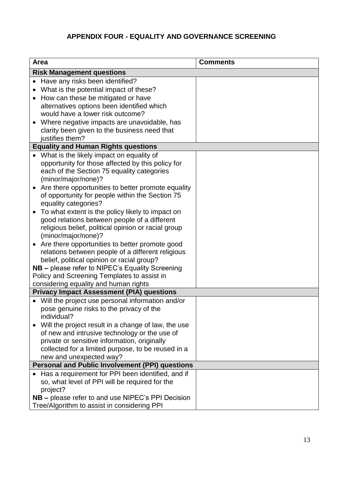## **APPENDIX FOUR - EQUALITY AND GOVERNANCE SCREENING**

| Area                                                                                           |                                                                                                 | <b>Comments</b> |  |
|------------------------------------------------------------------------------------------------|-------------------------------------------------------------------------------------------------|-----------------|--|
|                                                                                                | <b>Risk Management questions</b>                                                                |                 |  |
|                                                                                                | • Have any risks been identified?                                                               |                 |  |
|                                                                                                | What is the potential impact of these?                                                          |                 |  |
| $\bullet$                                                                                      | How can these be mitigated or have                                                              |                 |  |
|                                                                                                | alternatives options been identified which                                                      |                 |  |
|                                                                                                | would have a lower risk outcome?                                                                |                 |  |
|                                                                                                | Where negative impacts are unavoidable, has                                                     |                 |  |
|                                                                                                | clarity been given to the business need that                                                    |                 |  |
|                                                                                                | justifies them?                                                                                 |                 |  |
|                                                                                                | <b>Equality and Human Rights questions</b>                                                      |                 |  |
|                                                                                                | What is the likely impact on equality of                                                        |                 |  |
|                                                                                                | opportunity for those affected by this policy for                                               |                 |  |
|                                                                                                | each of the Section 75 equality categories                                                      |                 |  |
|                                                                                                | (minor/major/none)?                                                                             |                 |  |
|                                                                                                | Are there opportunities to better promote equality                                              |                 |  |
|                                                                                                | of opportunity for people within the Section 75                                                 |                 |  |
|                                                                                                | equality categories?                                                                            |                 |  |
|                                                                                                | To what extent is the policy likely to impact on                                                |                 |  |
|                                                                                                | good relations between people of a different                                                    |                 |  |
|                                                                                                | religious belief, political opinion or racial group                                             |                 |  |
|                                                                                                | (minor/major/none)?                                                                             |                 |  |
|                                                                                                | Are there opportunities to better promote good                                                  |                 |  |
|                                                                                                | relations between people of a different religious<br>belief, political opinion or racial group? |                 |  |
|                                                                                                |                                                                                                 |                 |  |
| NB - please refer to NIPEC's Equality Screening<br>Policy and Screening Templates to assist in |                                                                                                 |                 |  |
| considering equality and human rights                                                          |                                                                                                 |                 |  |
|                                                                                                | <b>Privacy Impact Assessment (PIA) questions</b>                                                |                 |  |
|                                                                                                | Will the project use personal information and/or                                                |                 |  |
|                                                                                                | pose genuine risks to the privacy of the                                                        |                 |  |
|                                                                                                | individual?                                                                                     |                 |  |
|                                                                                                | Will the project result in a change of law, the use                                             |                 |  |
|                                                                                                | of new and intrusive technology or the use of                                                   |                 |  |
|                                                                                                | private or sensitive information, originally                                                    |                 |  |
|                                                                                                | collected for a limited purpose, to be reused in a                                              |                 |  |
|                                                                                                | new and unexpected way?                                                                         |                 |  |
|                                                                                                | <b>Personal and Public Involvement (PPI) questions</b>                                          |                 |  |
|                                                                                                | Has a requirement for PPI been identified, and if                                               |                 |  |
|                                                                                                | so, what level of PPI will be required for the                                                  |                 |  |
|                                                                                                | project?                                                                                        |                 |  |
|                                                                                                | NB - please refer to and use NIPEC's PPI Decision                                               |                 |  |
|                                                                                                | Tree/Algorithm to assist in considering PPI                                                     |                 |  |